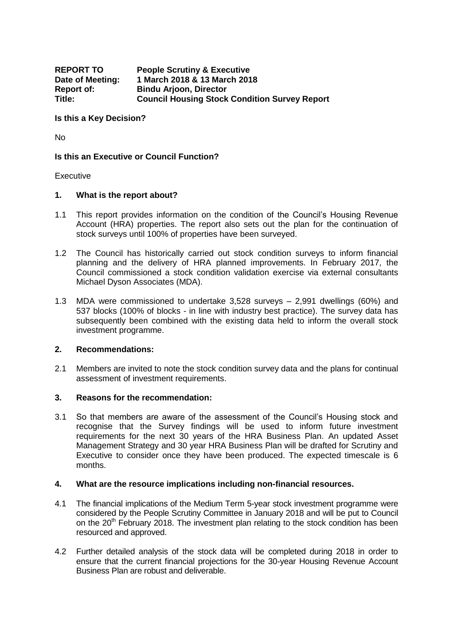| <b>REPORT TO</b>  | <b>People Scrutiny &amp; Executive</b>               |
|-------------------|------------------------------------------------------|
| Date of Meeting:  | 1 March 2018 & 13 March 2018                         |
| <b>Report of:</b> | <b>Bindu Arjoon, Director</b>                        |
| Title:            | <b>Council Housing Stock Condition Survey Report</b> |

### **Is this a Key Decision?**

No

## **Is this an Executive or Council Function?**

## Executive

## **1. What is the report about?**

- 1.1 This report provides information on the condition of the Council's Housing Revenue Account (HRA) properties. The report also sets out the plan for the continuation of stock surveys until 100% of properties have been surveyed.
- 1.2 The Council has historically carried out stock condition surveys to inform financial planning and the delivery of HRA planned improvements. In February 2017, the Council commissioned a stock condition validation exercise via external consultants Michael Dyson Associates (MDA).
- 1.3 MDA were commissioned to undertake 3,528 surveys 2,991 dwellings (60%) and 537 blocks (100% of blocks - in line with industry best practice). The survey data has subsequently been combined with the existing data held to inform the overall stock investment programme.

## **2. Recommendations:**

2.1 Members are invited to note the stock condition survey data and the plans for continual assessment of investment requirements.

### **3. Reasons for the recommendation:**

3.1 So that members are aware of the assessment of the Council's Housing stock and recognise that the Survey findings will be used to inform future investment requirements for the next 30 years of the HRA Business Plan. An updated Asset Management Strategy and 30 year HRA Business Plan will be drafted for Scrutiny and Executive to consider once they have been produced. The expected timescale is 6 months.

### **4. What are the resource implications including non-financial resources.**

- 4.1 The financial implications of the Medium Term 5-year stock investment programme were considered by the People Scrutiny Committee in January 2018 and will be put to Council on the  $20<sup>th</sup>$  February 2018. The investment plan relating to the stock condition has been resourced and approved.
- 4.2 Further detailed analysis of the stock data will be completed during 2018 in order to ensure that the current financial projections for the 30-year Housing Revenue Account Business Plan are robust and deliverable.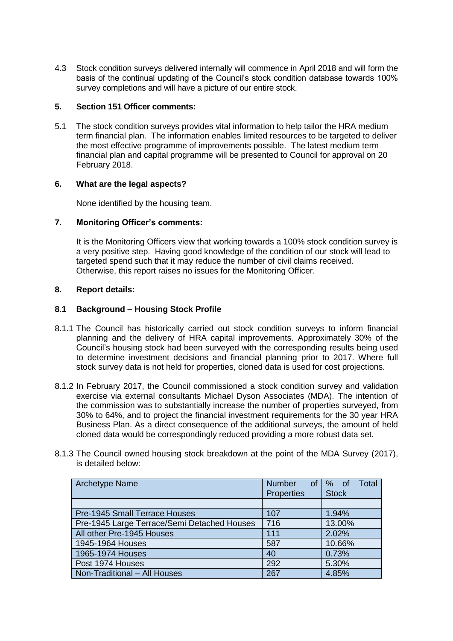4.3 Stock condition surveys delivered internally will commence in April 2018 and will form the basis of the continual updating of the Council's stock condition database towards 100% survey completions and will have a picture of our entire stock.

# **5. Section 151 Officer comments:**

5.1 The stock condition surveys provides vital information to help tailor the HRA medium term financial plan. The information enables limited resources to be targeted to deliver the most effective programme of improvements possible. The latest medium term financial plan and capital programme will be presented to Council for approval on 20 February 2018.

# **6. What are the legal aspects?**

None identified by the housing team.

# **7. Monitoring Officer's comments:**

It is the Monitoring Officers view that working towards a 100% stock condition survey is a very positive step. Having good knowledge of the condition of our stock will lead to targeted spend such that it may reduce the number of civil claims received. Otherwise, this report raises no issues for the Monitoring Officer.

## **8. Report details:**

# **8.1 Background – Housing Stock Profile**

- 8.1.1 The Council has historically carried out stock condition surveys to inform financial planning and the delivery of HRA capital improvements. Approximately 30% of the Council's housing stock had been surveyed with the corresponding results being used to determine investment decisions and financial planning prior to 2017. Where full stock survey data is not held for properties, cloned data is used for cost projections.
- 8.1.2 In February 2017, the Council commissioned a stock condition survey and validation exercise via external consultants Michael Dyson Associates (MDA). The intention of the commission was to substantially increase the number of properties surveyed, from 30% to 64%, and to project the financial investment requirements for the 30 year HRA Business Plan. As a direct consequence of the additional surveys, the amount of held cloned data would be correspondingly reduced providing a more robust data set.
- 8.1.3 The Council owned housing stock breakdown at the point of the MDA Survey (2017), is detailed below:

| <b>Archetype Name</b>                       | <b>Number</b><br>0f | Total<br>$%$ of |
|---------------------------------------------|---------------------|-----------------|
|                                             | <b>Properties</b>   | <b>Stock</b>    |
|                                             |                     |                 |
| <b>Pre-1945 Small Terrace Houses</b>        | 107                 | 1.94%           |
| Pre-1945 Large Terrace/Semi Detached Houses | 716                 | 13.00%          |
| All other Pre-1945 Houses                   | 111                 | 2.02%           |
| 1945-1964 Houses                            | 587                 | 10.66%          |
| 1965-1974 Houses                            | 40                  | 0.73%           |
| Post 1974 Houses                            | 292                 | 5.30%           |
| Non-Traditional - All Houses                | 267                 | 4.85%           |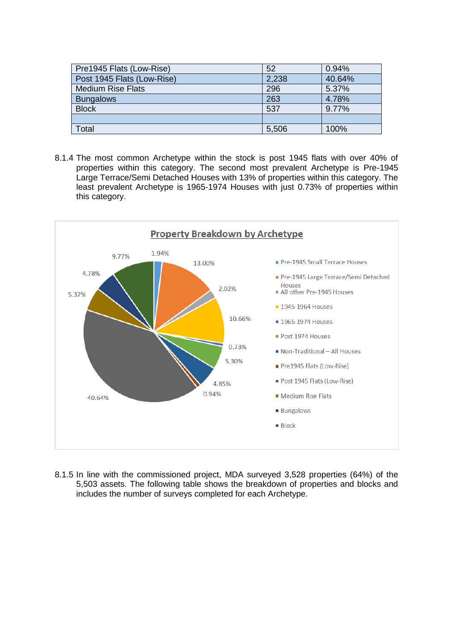| Pre1945 Flats (Low-Rise)   | 52    | 0.94%  |
|----------------------------|-------|--------|
| Post 1945 Flats (Low-Rise) | 2,238 | 40.64% |
| <b>Medium Rise Flats</b>   | 296   | 5.37%  |
| <b>Bungalows</b>           | 263   | 4.78%  |
| <b>Block</b>               | 537   | 9.77%  |
|                            |       |        |
| Total                      | 5,506 | 100%   |

8.1.4 The most common Archetype within the stock is post 1945 flats with over 40% of properties within this category. The second most prevalent Archetype is Pre-1945 Large Terrace/Semi Detached Houses with 13% of properties within this category. The least prevalent Archetype is 1965-1974 Houses with just 0.73% of properties within this category.



8.1.5 In line with the commissioned project, MDA surveyed 3,528 properties (64%) of the 5,503 assets. The following table shows the breakdown of properties and blocks and includes the number of surveys completed for each Archetype.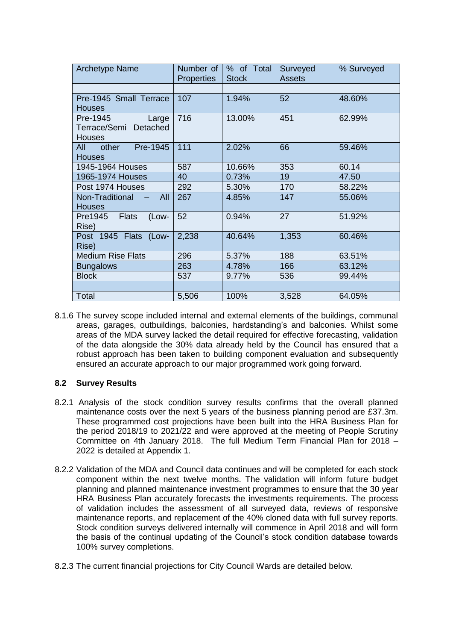| <b>Archetype Name</b>                                       | Number of<br><b>Properties</b> | % of Total<br><b>Stock</b> | Surveyed<br><b>Assets</b> | % Surveyed |  |
|-------------------------------------------------------------|--------------------------------|----------------------------|---------------------------|------------|--|
|                                                             |                                |                            |                           |            |  |
| Pre-1945 Small Terrace<br><b>Houses</b>                     | 107                            | 1.94%                      | 52                        | 48.60%     |  |
| Pre-1945<br>Large<br>Terrace/Semi Detached<br><b>Houses</b> | 716                            | 13.00%                     | 451                       | 62.99%     |  |
| Pre-1945<br>All<br>other<br><b>Houses</b>                   | 111                            | 2.02%                      | 66                        | 59.46%     |  |
| 1945-1964 Houses                                            | 587                            | 10.66%                     | 353                       | 60.14      |  |
| 1965-1974 Houses                                            | 40                             | 0.73%                      | 19                        | 47.50      |  |
| Post 1974 Houses                                            | 292                            | 5.30%                      | 170                       | 58.22%     |  |
| <b>All</b><br>Non-Traditional<br><b>Houses</b>              | 267                            | 4.85%                      | 147                       | 55.06%     |  |
| (Low-<br>Pre1945 Flats<br>Rise)                             | 52                             | 0.94%                      | 27                        | 51.92%     |  |
| Post 1945 Flats (Low-<br>Rise)                              | 2,238                          | 40.64%                     | 1,353                     | 60.46%     |  |
| <b>Medium Rise Flats</b>                                    | 296                            | 5.37%                      | 188                       | 63.51%     |  |
| <b>Bungalows</b>                                            | 263                            | 4.78%                      | 166                       | 63.12%     |  |
| <b>Block</b>                                                | 537                            | 9.77%                      | 536                       | 99.44%     |  |
|                                                             |                                |                            |                           |            |  |
| Total                                                       | 5,506                          | 100%                       | 3,528                     | 64.05%     |  |

8.1.6 The survey scope included internal and external elements of the buildings, communal areas, garages, outbuildings, balconies, hardstanding's and balconies. Whilst some areas of the MDA survey lacked the detail required for effective forecasting, validation of the data alongside the 30% data already held by the Council has ensured that a robust approach has been taken to building component evaluation and subsequently ensured an accurate approach to our major programmed work going forward.

# **8.2 Survey Results**

- 8.2.1 Analysis of the stock condition survey results confirms that the overall planned maintenance costs over the next 5 years of the business planning period are £37.3m. These programmed cost projections have been built into the HRA Business Plan for the period 2018/19 to 2021/22 and were approved at the meeting of People Scrutiny Committee on 4th January 2018. The full Medium Term Financial Plan for 2018 – 2022 is detailed at Appendix 1.
- 8.2.2 Validation of the MDA and Council data continues and will be completed for each stock component within the next twelve months. The validation will inform future budget planning and planned maintenance investment programmes to ensure that the 30 year HRA Business Plan accurately forecasts the investments requirements. The process of validation includes the assessment of all surveyed data, reviews of responsive maintenance reports, and replacement of the 40% cloned data with full survey reports. Stock condition surveys delivered internally will commence in April 2018 and will form the basis of the continual updating of the Council's stock condition database towards 100% survey completions.
- 8.2.3 The current financial projections for City Council Wards are detailed below.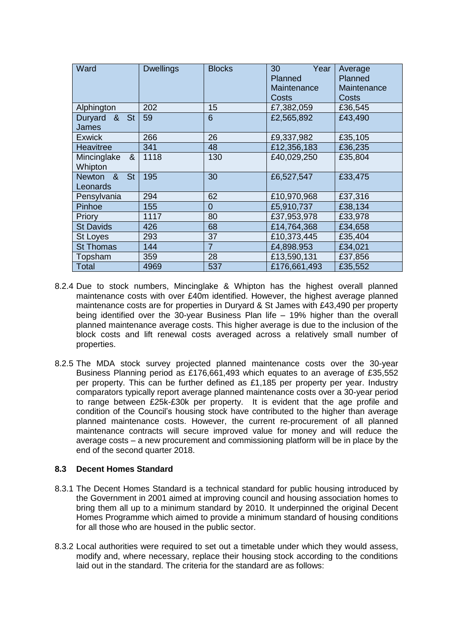| Ward                              | <b>Dwellings</b> | <b>Blocks</b> | 30<br>Year<br>Planned<br>Maintenance<br>Costs | Average<br>Planned<br>Maintenance<br>Costs |  |
|-----------------------------------|------------------|---------------|-----------------------------------------------|--------------------------------------------|--|
| Alphington                        | 202              | 15            | £7,382,059                                    | £36,545                                    |  |
| & St<br>Duryard<br><b>James</b>   | 59               | 6             | £2,565,892                                    | £43,490                                    |  |
| <b>Exwick</b>                     | 266              | 26            | £9,337,982                                    | £35,105                                    |  |
| <b>Heavitree</b>                  | 341              | 48            | £12,356,183                                   | £36,235                                    |  |
| Mincinglake<br>&<br>Whipton       | 1118             | 130           | £40,029,250                                   | £35,804                                    |  |
| <b>St</b><br>Newton &<br>Leonards | 195              | 30            | £6,527,547                                    | £33,475                                    |  |
| Pensylvania                       | 294              | 62            | £10,970,968                                   | £37,316                                    |  |
| Pinhoe                            | 155              | 0             | £5,910,737                                    | £38,134                                    |  |
| Priory                            | 1117             | 80            | £37,953,978                                   | £33,978                                    |  |
| <b>St Davids</b>                  | 426              | 68            | £14,764,368                                   | £34,658                                    |  |
| <b>St Loyes</b>                   | 293              | 37            | £10,373,445                                   | £35,404                                    |  |
| <b>St Thomas</b>                  | 144              | 7             | £4,898.953                                    | £34,021                                    |  |
| Topsham                           | 359              | 28            | £13,590,131                                   | £37,856                                    |  |
| Total                             | 4969             | 537           | £176,661,493                                  | £35,552                                    |  |

- 8.2.4 Due to stock numbers, Mincinglake & Whipton has the highest overall planned maintenance costs with over £40m identified. However, the highest average planned maintenance costs are for properties in Duryard & St James with £43,490 per property being identified over the 30-year Business Plan life – 19% higher than the overall planned maintenance average costs. This higher average is due to the inclusion of the block costs and lift renewal costs averaged across a relatively small number of properties.
- 8.2.5 The MDA stock survey projected planned maintenance costs over the 30-year Business Planning period as £176,661,493 which equates to an average of £35,552 per property. This can be further defined as £1,185 per property per year. Industry comparators typically report average planned maintenance costs over a 30-year period to range between £25k-£30k per property. It is evident that the age profile and condition of the Council's housing stock have contributed to the higher than average planned maintenance costs. However, the current re-procurement of all planned maintenance contracts will secure improved value for money and will reduce the average costs – a new procurement and commissioning platform will be in place by the end of the second quarter 2018.

## **8.3 Decent Homes Standard**

- 8.3.1 The Decent Homes Standard is a technical standard for public housing introduced by the Government in 2001 aimed at improving council and housing association homes to bring them all up to a minimum standard by 2010. It underpinned the original Decent Homes Programme which aimed to provide a minimum standard of housing conditions for all those who are housed in the public sector.
- 8.3.2 Local authorities were required to set out a timetable under which they would assess, modify and, where necessary, replace their housing stock according to the conditions laid out in the standard. The criteria for the standard are as follows: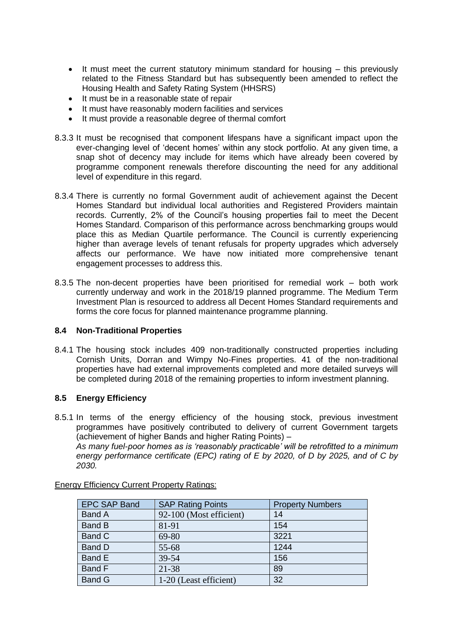- It must meet the current statutory minimum standard for housing this previously related to the Fitness Standard but has subsequently been amended to reflect the Housing Health and Safety Rating System (HHSRS)
- It must be in a reasonable state of repair
- It must have reasonably modern facilities and services
- It must provide a reasonable degree of thermal comfort
- 8.3.3 It must be recognised that component lifespans have a significant impact upon the ever-changing level of 'decent homes' within any stock portfolio. At any given time, a snap shot of decency may include for items which have already been covered by programme component renewals therefore discounting the need for any additional level of expenditure in this regard.
- 8.3.4 There is currently no formal Government audit of achievement against the Decent Homes Standard but individual local authorities and Registered Providers maintain records. Currently, 2% of the Council's housing properties fail to meet the Decent Homes Standard. Comparison of this performance across benchmarking groups would place this as Median Quartile performance. The Council is currently experiencing higher than average levels of tenant refusals for property upgrades which adversely affects our performance. We have now initiated more comprehensive tenant engagement processes to address this.
- 8.3.5 The non-decent properties have been prioritised for remedial work both work currently underway and work in the 2018/19 planned programme. The Medium Term Investment Plan is resourced to address all Decent Homes Standard requirements and forms the core focus for planned maintenance programme planning.

## **8.4 Non-Traditional Properties**

8.4.1 The housing stock includes 409 non-traditionally constructed properties including Cornish Units, Dorran and Wimpy No-Fines properties. 41 of the non-traditional properties have had external improvements completed and more detailed surveys will be completed during 2018 of the remaining properties to inform investment planning.

## **8.5 Energy Efficiency**

*2030.*

8.5.1 In terms of the energy efficiency of the housing stock, previous investment programmes have positively contributed to delivery of current Government targets (achievement of higher Bands and higher Rating Points) – *As many fuel-poor homes as is 'reasonably practicable' will be retrofitted to a minimum energy performance certificate (EPC) rating of E by 2020, of D by 2025, and of C by* 

| <b>EPC SAP Band</b> | <b>SAP Rating Points</b> | <b>Property Numbers</b> |
|---------------------|--------------------------|-------------------------|
| <b>Band A</b>       | 92-100 (Most efficient)  | 14                      |
| <b>Band B</b>       | 81-91                    | 154                     |
| Band C              | 69-80                    | 3221                    |
| Band D              | 55-68                    | 1244                    |
| Band E              | 39-54                    | 156                     |
| Band F              | 21-38                    | 89                      |
| <b>Band G</b>       | 1-20 (Least efficient)   | 32                      |

Energy Efficiency Current Property Ratings: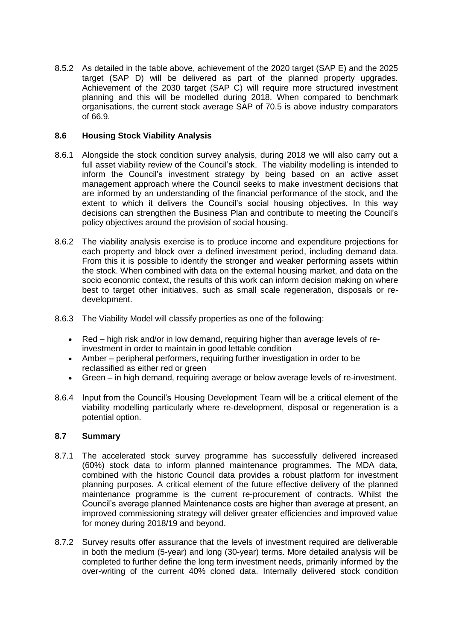8.5.2 As detailed in the table above, achievement of the 2020 target (SAP E) and the 2025 target (SAP D) will be delivered as part of the planned property upgrades. Achievement of the 2030 target (SAP C) will require more structured investment planning and this will be modelled during 2018. When compared to benchmark organisations, the current stock average SAP of 70.5 is above industry comparators of 66.9.

## **8.6 Housing Stock Viability Analysis**

- 8.6.1 Alongside the stock condition survey analysis, during 2018 we will also carry out a full asset viability review of the Council's stock. The viability modelling is intended to inform the Council's investment strategy by being based on an active asset management approach where the Council seeks to make investment decisions that are informed by an understanding of the financial performance of the stock, and the extent to which it delivers the Council's social housing objectives. In this way decisions can strengthen the Business Plan and contribute to meeting the Council's policy objectives around the provision of social housing.
- 8.6.2 The viability analysis exercise is to produce income and expenditure projections for each property and block over a defined investment period, including demand data. From this it is possible to identify the stronger and weaker performing assets within the stock. When combined with data on the external housing market, and data on the socio economic context, the results of this work can inform decision making on where best to target other initiatives, such as small scale regeneration, disposals or redevelopment.
- 8.6.3 The Viability Model will classify properties as one of the following:
	- Red high risk and/or in low demand, requiring higher than average levels of reinvestment in order to maintain in good lettable condition
	- Amber peripheral performers, requiring further investigation in order to be reclassified as either red or green
	- Green in high demand, requiring average or below average levels of re-investment.
- 8.6.4 Input from the Council's Housing Development Team will be a critical element of the viability modelling particularly where re-development, disposal or regeneration is a potential option.

## **8.7 Summary**

- 8.7.1 The accelerated stock survey programme has successfully delivered increased (60%) stock data to inform planned maintenance programmes. The MDA data, combined with the historic Council data provides a robust platform for investment planning purposes. A critical element of the future effective delivery of the planned maintenance programme is the current re-procurement of contracts. Whilst the Council's average planned Maintenance costs are higher than average at present, an improved commissioning strategy will deliver greater efficiencies and improved value for money during 2018/19 and beyond.
- 8.7.2 Survey results offer assurance that the levels of investment required are deliverable in both the medium (5-year) and long (30-year) terms. More detailed analysis will be completed to further define the long term investment needs, primarily informed by the over-writing of the current 40% cloned data. Internally delivered stock condition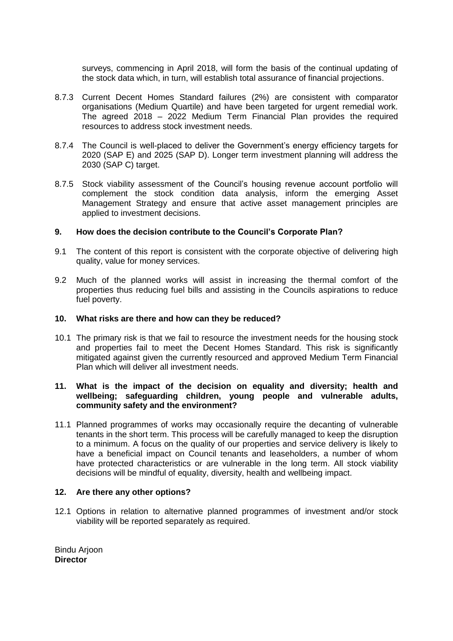surveys, commencing in April 2018, will form the basis of the continual updating of the stock data which, in turn, will establish total assurance of financial projections.

- 8.7.3 Current Decent Homes Standard failures (2%) are consistent with comparator organisations (Medium Quartile) and have been targeted for urgent remedial work. The agreed 2018 – 2022 Medium Term Financial Plan provides the required resources to address stock investment needs.
- 8.7.4 The Council is well-placed to deliver the Government's energy efficiency targets for 2020 (SAP E) and 2025 (SAP D). Longer term investment planning will address the 2030 (SAP C) target.
- 8.7.5 Stock viability assessment of the Council's housing revenue account portfolio will complement the stock condition data analysis, inform the emerging Asset Management Strategy and ensure that active asset management principles are applied to investment decisions.

## **9. How does the decision contribute to the Council's Corporate Plan?**

- 9.1 The content of this report is consistent with the corporate objective of delivering high quality, value for money services.
- 9.2 Much of the planned works will assist in increasing the thermal comfort of the properties thus reducing fuel bills and assisting in the Councils aspirations to reduce fuel poverty.

### **10. What risks are there and how can they be reduced?**

10.1 The primary risk is that we fail to resource the investment needs for the housing stock and properties fail to meet the Decent Homes Standard. This risk is significantly mitigated against given the currently resourced and approved Medium Term Financial Plan which will deliver all investment needs.

### **11. What is the impact of the decision on equality and diversity; health and wellbeing; safeguarding children, young people and vulnerable adults, community safety and the environment?**

11.1 Planned programmes of works may occasionally require the decanting of vulnerable tenants in the short term. This process will be carefully managed to keep the disruption to a minimum. A focus on the quality of our properties and service delivery is likely to have a beneficial impact on Council tenants and leaseholders, a number of whom have protected characteristics or are vulnerable in the long term. All stock viability decisions will be mindful of equality, diversity, health and wellbeing impact.

### **12. Are there any other options?**

12.1 Options in relation to alternative planned programmes of investment and/or stock viability will be reported separately as required.

Bindu Arjoon **Director**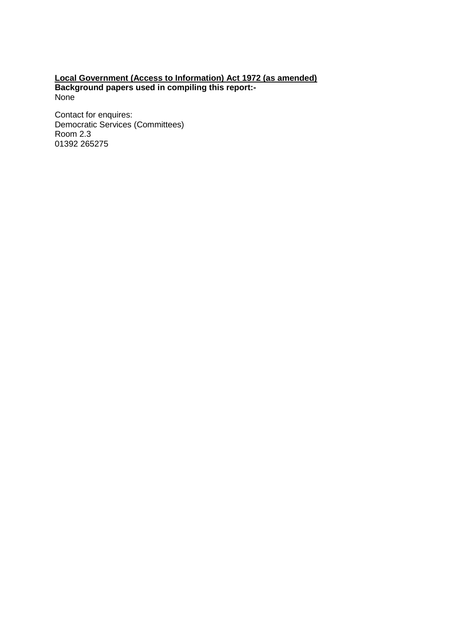## **Local Government (Access to Information) Act 1972 (as amended) Background papers used in compiling this report:-** None

Contact for enquires: Democratic Services (Committees) Room 2.3 01392 265275